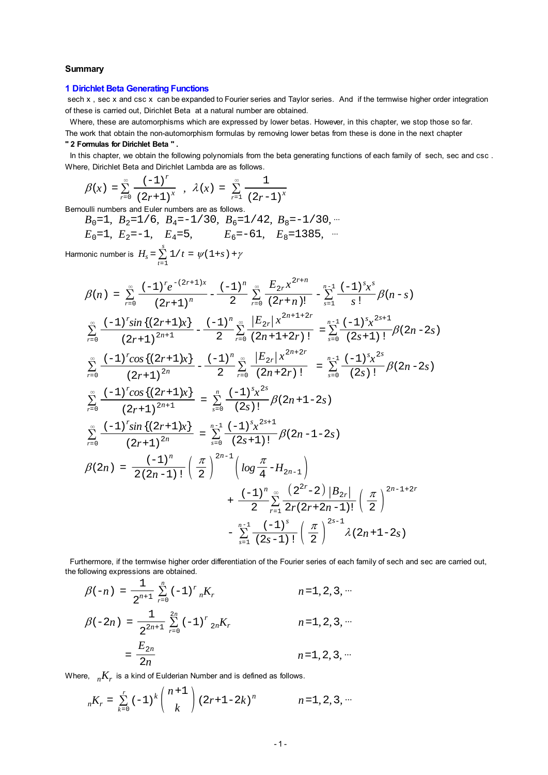#### **Summary**

#### **1 Dirichlet Beta Generating Functions**

sech x, sec x and csc x can be expanded to Fourier series and Taylor series. And if the termwise higher order integration of these is carried out, Dirichlet Beta at a natural number are obtained.

Where, these are automorphisms which are expressed by lower betas. However, in this chapter, we stop those so far. The work that obtain the non-automorphism formulas by removing lower betas from these is done in the next chapter

#### **" 2 Formulas for Dirichlet Beta " .**

In this chapter, we obtain the following polynomials from the beta generating functions of each family of sech, sec and csc. Where, Dirichlet Beta and Dirichlet Lambda are as follows.

$$
\beta(x) = \sum_{r=0}^{\infty} \frac{(-1)^r}{(2r+1)^x}, \quad \lambda(x) = \sum_{r=1}^{\infty} \frac{1}{(2r-1)^x}
$$

Bernoulli numbers and Euler numbers are as follows.

 $B_0=1$ ,  $B_2=1/6$ ,  $B_4=-1/30$ ,  $B_6=1/42$ ,  $B_8=-1/30$ ,  $\cdots$  $E_0$ =1,  $E_2$ =-1,  $E_4$ =5,  $E_6$ =-61,  $E_8$ =1385, <sup>...</sup> Harmonic number is  $H_s = \sum_{t=1}^{s} 1/t = \psi(1+s) + \gamma$ 

$$
\beta(n) = \sum_{r=0}^{\infty} \frac{(-1)^{r} e^{-(2r+1)x}}{(2r+1)^{n}} - \frac{(-1)^{n}}{2} \sum_{r=0}^{\infty} \frac{E_{2r} x^{2r+n}}{(2r+n)!} - \sum_{s=1}^{n-1} \frac{(-1)^{s} x^{s}}{s!} \beta(n-s)
$$
  

$$
\sum_{r=0}^{\infty} \frac{(-1)^{r} \sin \{(2r+1)x\}}{(2r+1)^{2n+1}} - \frac{(-1)^{n}}{2} \sum_{r=0}^{\infty} \frac{|E_{2r}| x^{2n+1+2r}}{(2n+1+2r)!} = \sum_{s=0}^{n-1} \frac{(-1)^{s} x^{2s+1}}{(2s+1)!} \beta(2n-2s)
$$
  

$$
\sum_{r=0}^{\infty} \frac{(-1)^{r} \cos \{(2r+1)x\}}{(2r+1)^{2n}} - \frac{(-1)^{n}}{2} \sum_{r=0}^{\infty} \frac{|E_{2r}| x^{2n+2r}}{(2n+2r)!} = \sum_{s=0}^{n-1} \frac{(-1)^{s} x^{2s}}{(2s)!} \beta(2n-2s)
$$
  

$$
\sum_{r=0}^{\infty} \frac{(-1)^{r} \cos \{(2r+1)x\}}{(2r+1)^{2n+1}} = \sum_{s=0}^{n} \frac{(-1)^{s} x^{2s}}{(2s)!} \beta(2n+1-2s)
$$
  

$$
\beta(2n) = \frac{(-1)^{n} \sin \{(2r+1)x\}}{2(2n-1)!} = \sum_{s=0}^{n-1} \frac{(-1)^{s} x^{2s+1}}{(2s+1)!} \beta(2n-1-2s)
$$
  

$$
\beta(2n) = \frac{(-1)^{n}}{2(2n-1)!} \left(\frac{\pi}{2}\right)^{2n-1} \left(\log \frac{\pi}{4} - H_{2n-1}\right)
$$
  

$$
+ \frac{(-1)^{n}}{2} \sum_{r=1}^{\infty} \frac{(2^{2r}-2) |B_{2r}|}{2r(2r+2n-1)!} \left(\frac{\pi}{2}\right)^{2n-1+2r}
$$
  
<math display="block</math>

 Furthermore, if the termwise higher order differentiation of the Fourier series of each family of sech and sec are carried out, the following expressions are obtained.

$$
\beta(-n) = \frac{1}{2^{n+1}} \sum_{r=0}^{n} (-1)^r {}_{n}K_r
$$
\n
$$
n = 1, 2, 3, \cdots
$$
\n
$$
\beta(-2n) = \frac{1}{2^{2n+1}} \sum_{r=0}^{2n} (-1)^r {}_{2n}K_r
$$
\n
$$
n = 1, 2, 3, \cdots
$$
\n
$$
n = 1, 2, 3, \cdots
$$
\n
$$
n = 1, 2, 3, \cdots
$$
\n
$$
n = 1, 2, 3, \cdots
$$

Where,  $n K_r$  is a kind of Eulderian Number and is defined as follows.

$$
_{n}K_{r} = \sum_{k=0}^{r} (-1)^{k} {n+1 \choose k} (2r+1-2k)^{n}
$$
  $n=1, 2, 3, ...$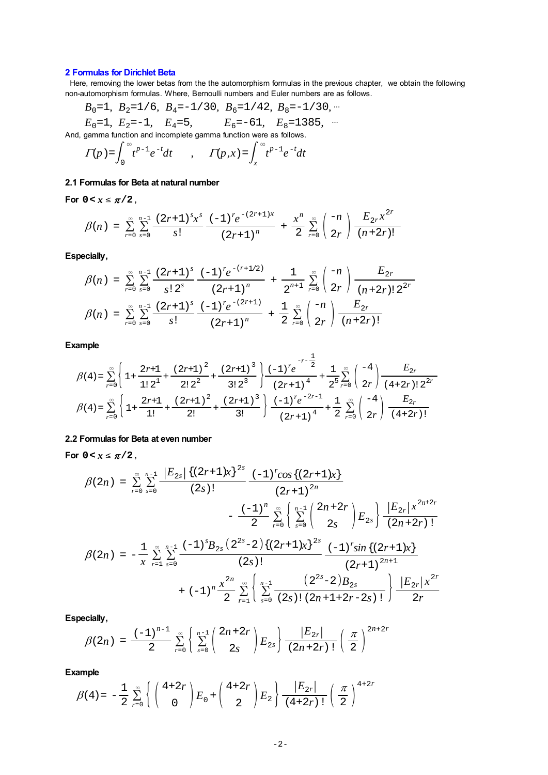# **2 Formulas for Dirichlet Beta**

 Here, removing the lower betas from the the automorphism formulas in the previous chapter, we obtain the following non-automorphism formulas. Where, Bernoulli numbers and Euler numbers are as follows.

$$
B_0=1
$$
,  $B_2=1/6$ ,  $B_4=-1/30$ ,  $B_6=1/42$ ,  $B_8=-1/30$ , ...  
\n $E_0=1$ ,  $E_2=-1$ ,  $E_4=5$ ,  $E_6=-61$ ,  $E_8=1385$ , ...

And, gamma function and incomplete gamma function were as follows.

$$
\Gamma(p) = \int_0^\infty t^{p-1} e^{-t} dt \qquad , \qquad \Gamma(p, x) = \int_x^\infty t^{p-1} e^{-t} dt
$$

# **2.1 Formulas for Beta at natural number**

For  $0 < x \le \pi/2$ ,

$$
\beta(n) = \sum_{r=0}^{\infty} \sum_{s=0}^{n-1} \frac{(2r+1)^s x^s}{s!} \frac{(-1)^r e^{-(2r+1)x}}{(2r+1)^n} + \frac{x^n}{2} \sum_{r=0}^{\infty} {n \choose 2r} \frac{E_{2r} x^{2r}}{(n+2r)!}
$$

**Especially,**

$$
\beta(n) = \sum_{r=0}^{\infty} \sum_{s=0}^{n-1} \frac{(2r+1)^s}{s! \ 2^s} \frac{(-1)^r e^{-(r+1/2)}}{(2r+1)^n} + \frac{1}{2^{n+1}} \sum_{r=0}^{\infty} \binom{-n}{2r} \frac{E_{2r}}{(n+2r)! \ 2^{2r}}
$$

$$
\beta(n) = \sum_{r=0}^{\infty} \sum_{s=0}^{n-1} \frac{(2r+1)^s}{s!} \frac{(-1)^r e^{-(2r+1)}}{(2r+1)^n} + \frac{1}{2} \sum_{r=0}^{\infty} \binom{-n}{2r} \frac{E_{2r}}{(n+2r)!}
$$

**Example**

$$
\beta(4) = \sum_{r=0}^{\infty} \left\{ 1 + \frac{2r+1}{1! \ 2^1} + \frac{(2r+1)^2}{2! \ 2^2} + \frac{(2r+1)^3}{3! \ 2^3} \right\} \frac{(-1)^r e^{-r-\frac{1}{2}}}{(2r+1)^4} + \frac{1}{2^5} \sum_{r=0}^{\infty} \left( \frac{-4}{2r} \right) \frac{E_{2r}}{(4+2r)! \ 2^{2r}}
$$

$$
\beta(4) = \sum_{r=0}^{\infty} \left\{ 1 + \frac{2r+1}{1!} + \frac{(2r+1)^2}{2!} + \frac{(2r+1)^3}{3!} \right\} \frac{(-1)^r e^{-2r-1}}{(2r+1)^4} + \frac{1}{2} \sum_{r=0}^{\infty} \left( \frac{-4}{2r} \right) \frac{E_{2r}}{(4+2r)!}
$$

# **2.2 Formulas for Beta at even number**

For  $0 < x \leq \pi/2$ ,

$$
\beta(2n) = \sum_{r=0}^{\infty} \sum_{s=0}^{n-1} \frac{|E_{2s}| \{(2r+1)x\}^{2s}}{(2s)!} \frac{(-1)^r \cos\{(2r+1)x\}}{(2r+1)^{2n}} - \frac{(-1)^n}{2} \sum_{r=0}^{\infty} \left\{ \sum_{s=0}^{n-1} {2n+2r \choose 2s} E_{2s} \right\} \frac{|E_{2r}| x^{2n+2r}}{(2n+2r)!}
$$

$$
\beta(2n) = -\frac{1}{x} \sum_{r=1}^{\infty} \sum_{s=0}^{n-1} \frac{(-1)^s B_{2s} (2^{2s}-2) \{(2r+1)x\}^{2s}}{(2s)!} \frac{(-1)^r \sin\{(2r+1)x\}}{(2r+1)^{2n+1}} + (-1)^n \frac{x^{2n}}{2} \sum_{r=1}^{\infty} \left\{ \sum_{s=0}^{n-1} \frac{(2^{2s}-2)B_{2s}}{(2s)! (2n+1+2r-2s)!} \right\} \frac{|E_{2r}| x^{2r}}{2r}
$$

**Especially,**

$$
\beta(2n) = \frac{(-1)^{n-1}}{2} \sum_{r=0}^{\infty} \left\{ \sum_{s=0}^{n-1} {2n+2r \choose 2s} E_{2s} \right\} \frac{|E_{2r}|}{(2n+2r)!} \left(\frac{\pi}{2}\right)^{2n+2r}
$$

**Example**

$$
\beta(4) = -\frac{1}{2} \sum_{r=0}^{\infty} \left\{ \binom{4+2r}{0} E_0 + \binom{4+2r}{2} E_2 \right\} \frac{|E_{2r}|}{(4+2r)!} \left(\frac{\pi}{2}\right)^{4+2r}
$$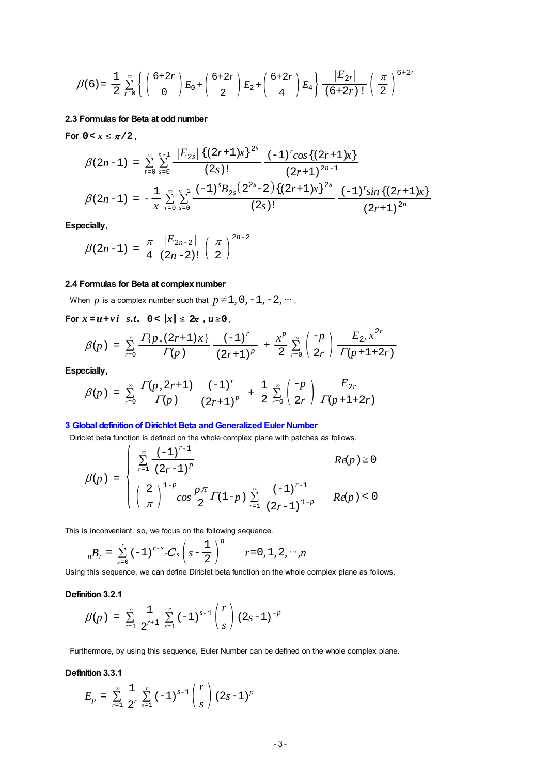$$
\beta(6) = \frac{1}{2} \sum_{r=0}^{\infty} \left\{ \binom{6+2r}{0} E_0 + \binom{6+2r}{2} E_2 + \binom{6+2r}{4} E_4 \right\} \frac{|E_{2r}|}{(6+2r)!} \left(\frac{\pi}{2}\right)^{6+2r}
$$

## **2.3 Formulas for Beta at odd number**

For  $0 < x \leq \pi/2$ ,

$$
\beta(2n-1) = \sum_{r=0}^{\infty} \sum_{s=0}^{n-1} \frac{\left|E_{2s}\right| \left\{(2r+1)x\right\}^{2s}}{(2s)!} \frac{(-1)^r \cos\left\{(2r+1)x\right\}}{(2r+1)^{2n-1}}
$$
\n
$$
\beta(2n-1) = -\frac{1}{x} \sum_{r=0}^{\infty} \sum_{s=0}^{n-1} \frac{(-1)^s B_{2s} \left(2^{2s}-2\right) \left\{(2r+1)x\right\}^{2s}}{(2s)!} \frac{(-1)^r \sin\left\{(2r+1)x\right\}}{(2r+1)^{2n}}
$$

**Especially,**

$$
\beta(2n-1) = \frac{\pi}{4} \frac{|E_{2n-2}|}{(2n-2)!} \left(\frac{\pi}{2}\right)^{2n-2}
$$

## **2.4 Formulas for Beta at complex number**

When *p* is a complex number such that  $p \neq 1, 0, -1, -2, \dots$ ,

**For**  $x = u + vi$   $s.t.$   $0 < |x| \leq 2\pi$ ,  $u \geq 0$ ,

$$
\beta(p) = \sum_{r=0}^{\infty} \frac{\Gamma\{p,(2r+1)x\}}{\Gamma(p)} \frac{(-1)^r}{(2r+1)^p} + \frac{x^p}{2} \sum_{r=0}^{\infty} \binom{-p}{2r} \frac{E_{2r}x^{2r}}{\Gamma(p+1+2r)}
$$

**Especially,**

$$
\beta(p) = \sum_{r=0}^{\infty} \frac{\Gamma(p, 2r+1)}{\Gamma(p)} \frac{(-1)^r}{(2r+1)^p} + \frac{1}{2} \sum_{r=0}^{\infty} \binom{-p}{2r} \frac{E_{2r}}{\Gamma(p+1+2r)}
$$

## **3 Global definition of Dirichlet Beta and Generalized Euler Number**

Diriclet beta function is defined on the whole complex plane with patches as follows.

$$
\beta(p) = \begin{cases} \sum_{r=1}^{\infty} \frac{(-1)^{r-1}}{(2r-1)^p} & Re(p) \ge 0 \\ \left(\frac{2}{\pi}\right)^{1-p} \cos \frac{p\pi}{2} \Gamma(1-p) \sum_{r=1}^{\infty} \frac{(-1)^{r-1}}{(2r-1)^{1-p}} & Re(p) < 0 \end{cases}
$$

This is inconvenient. so, we focus on the following sequence.

$$
_{n}B_{r} = \sum_{s=0}^{r} (-1)^{r-s} {_{r}C_{s}} \left(s - \frac{1}{2}\right)^{n}
$$
  $r = 0, 1, 2, ..., n$ 

Using this sequence, we can define Diriclet beta function on the whole complex plane as follows.

## **Definition 3.2.1**

$$
\beta(p) = \sum_{r=1}^{\infty} \frac{1}{2^{r+1}} \sum_{s=1}^{r} (-1)^{s-1} {r \choose s} (2s-1)^{-p}
$$

Furthermore, by using this sequence, Euler Number can be defined on the whole complex plane.

## **Definition 3.3.1**

$$
E_p = \sum_{r=1}^{\infty} \frac{1}{2^r} \sum_{s=1}^r (-1)^{s-1} {r \choose s} (2s-1)^p
$$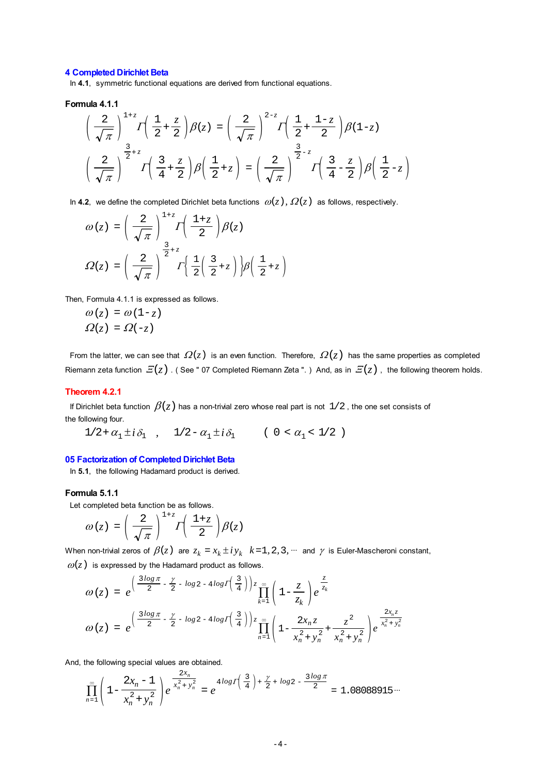#### **4 Completed Dirichlet Beta**

In **4.1**, symmetric functional equations are derived from functional equations.

#### **Formula 4.1.1**

$$
\left(\frac{2}{\sqrt{\pi}}\right)^{1+z} I\left(\frac{1}{2} + \frac{z}{2}\right) \beta(z) = \left(\frac{2}{\sqrt{\pi}}\right)^{2-z} I\left(\frac{1}{2} + \frac{1-z}{2}\right) \beta(1-z)
$$

$$
\left(\frac{2}{\sqrt{\pi}}\right)^{\frac{3}{2}+z} I\left(\frac{3}{4} + \frac{z}{2}\right) \beta\left(\frac{1}{2} + z\right) = \left(\frac{2}{\sqrt{\pi}}\right)^{\frac{3}{2}-z} I\left(\frac{3}{4} - \frac{z}{2}\right) \beta\left(\frac{1}{2} - z\right)
$$

In 4.2, we define the completed Dirichlet beta functions  $\omega(z)$ ,  $\Omega(z)$  as follows, respectively.

$$
\omega(z) = \left(\frac{2}{\sqrt{\pi}}\right)^{1+z} \Gamma\left(\frac{1+z}{2}\right) \beta(z)
$$

$$
\Omega(z) = \left(\frac{2}{\sqrt{\pi}}\right)^{\frac{3}{2}+z} \Gamma\left(\frac{1}{2}\left(\frac{3}{2}+z\right)\right) \beta\left(\frac{1}{2}+z\right)
$$

Then, Formula 4.1.1 is expressed as follows.

$$
\omega(z) = \omega(1-z)
$$

$$
\Omega(z) = \Omega(-z)
$$

From the latter, we can see that  $\Omega(z)$  is an even function. Therefore,  $\Omega(z)$  has the same properties as completed Riemann zeta function  $E(z)$ . (See " 07 Completed Riemann Zeta ".) And, as in  $E(z)$ , the following theorem holds.

#### **Theorem 4.2.1**

If Dirichlet beta function  $\,\beta(\zeta)$  has a non-trivial zero whose real part is not  $\,1/2$  , the one set consists of the following four.

 $1/2 + \alpha_1 \pm i\, \delta_1 \quad , \quad 1/2 - \alpha_1 \pm i\, \delta_1 \qquad \quad ( \ 0 \, < \alpha_1 < \, 1/2 \ \ )$ 

#### **05 Factorization of Completed Dirichlet Beta**

In **5.1**, the following Hadamard product is derived.

## **Formula 5.1.1**

Let completed beta function be as follows.

$$
\omega(z) = \left(\frac{2}{\sqrt{\pi}}\right)^{1+z} I\left(\frac{1+z}{2}\right) \beta(z)
$$

When non-trivial zeros of  $\beta(z)$  are  $z_k = x_k \pm iy_k$   $k=1, 2, 3, \dots$  and  $\gamma$  is Euler-Mascheroni constant,  $\omega(z)$  is expressed by the Hadamard product as follows.

$$
\omega(z) = e^{\left(\frac{3\log\pi}{2} - \frac{\gamma}{2} - \log 2 - 4\log I\left(\frac{3}{4}\right)\right)z} \prod_{k=1}^{\infty} \left(1 - \frac{z}{z_k}\right) e^{\frac{z}{z_k}}
$$
  

$$
\omega(z) = e^{\left(\frac{3\log\pi}{2} - \frac{\gamma}{2} - \log 2 - 4\log I\left(\frac{3}{4}\right)\right)z} \prod_{n=1}^{\infty} \left(1 - \frac{2x_n z}{x_n^2 + y_n^2} + \frac{z^2}{x_n^2 + y_n^2}\right) e^{\frac{2x_n z}{x_n^2 + y_n^2}}
$$

And, the following special values are obtained.

$$
\prod_{n=1}^{\infty} \left(1 - \frac{2x_n - 1}{x_n^2 + y_n^2}\right) e^{-\frac{2x_n}{x_n^2 + y_n^2}} = e^{-4\log(\left(\frac{3}{4}\right) + \frac{\gamma}{2} + \log 2 - \frac{3\log \pi}{2})} = 1.08088915\cdots
$$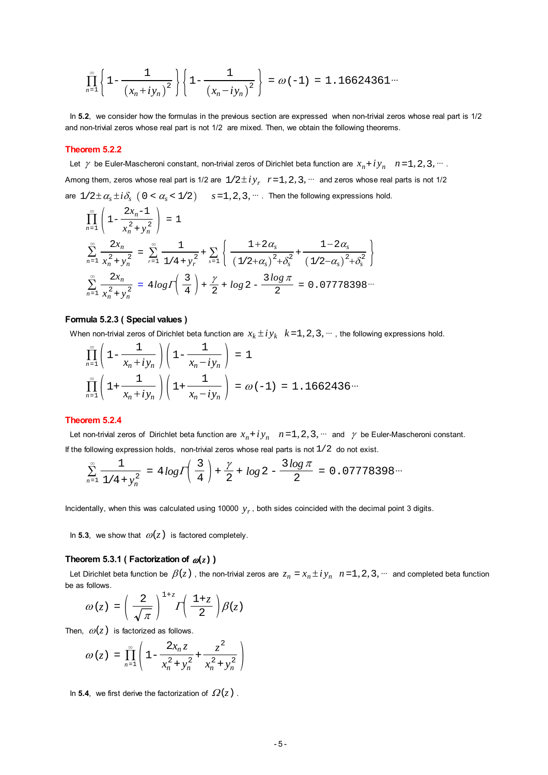$$
\prod_{n=1}^{\infty} \left\{ 1 - \frac{1}{(x_n + iy_n)^2} \right\} \left\{ 1 - \frac{1}{(x_n - iy_n)^2} \right\} = \omega(-1) = 1.16624361...
$$

 In **5.2**, we consider how the formulas in the previous section are expressed when non-trivial zeros whose real part is 1/2 and non-trivial zeros whose real part is not 1/2 are mixed. Then, we obtain the following theorems.

## **Theorem 5.2.2**

Let  $\gamma$  be Euler-Mascheroni constant, non-trivial zeros of Dirichlet beta function are  $x_n + iy_n$   $n=1, 2, 3, ...$ . Among them, zeros whose real part is 1/2 are  $1/2 \pm iy_r$ ,  $r=1, 2, 3, \dots$  and zeros whose real parts is not 1/2 are  $1/2 \pm \alpha_s \pm i \delta_s$  (  $0 < \alpha_s < 1/2$  )  $s = 1, 2, 3, \dots$  Then the following expressions hold.

$$
\prod_{n=1}^{\infty} \left( 1 - \frac{2x_n - 1}{x_n^2 + y_n^2} \right) = 1
$$
\n
$$
\sum_{n=1}^{\infty} \frac{2x_n}{x_n^2 + y_n^2} = \sum_{r=1}^{\infty} \frac{1}{1/4 + y_r^2} + \sum_{s=1}^{\infty} \left\{ \frac{1 + 2\alpha_s}{(1/2 + \alpha_s)^2 + \delta_s^2} + \frac{1 - 2\alpha_s}{(1/2 - \alpha_s)^2 + \delta_s^2} \right\}
$$
\n
$$
\sum_{n=1}^{\infty} \frac{2x_n}{x_n^2 + y_n^2} = 4\log \Gamma \left( \frac{3}{4} \right) + \frac{\gamma}{2} + \log 2 - \frac{3\log \pi}{2} = 0.07778398...
$$

#### **Formula 5.2.3 ( Special values )**

When non-trivial zeros of Dirichlet beta function are  $x_k \pm iy_k$   $k=1, 2, 3, \dots$ , the following expressions hold.

$$
\prod_{n=1}^{\infty} \left( 1 - \frac{1}{x_n + iy_n} \right) \left( 1 - \frac{1}{x_n - iy_n} \right) = 1
$$
\n
$$
\prod_{n=1}^{\infty} \left( 1 + \frac{1}{x_n + iy_n} \right) \left( 1 + \frac{1}{x_n - iy_n} \right) = \omega(-1) = 1.1662436\cdots
$$

## **Theorem 5.2.4**

Let non-trivial zeros of Dirichlet beta function are  $x_n + iy_n$   $n=1, 2, 3, ...$  and  $\gamma$  be Euler-Mascheroni constant. If the following expression holds, non-trivial zeros whose real parts is not  $1/2$  do not exist.

$$
\sum_{n=1}^{\infty} \frac{1}{1/4 + y_n^2} = 4 \log \left( \frac{3}{4} \right) + \frac{\gamma}{2} + \log 2 - \frac{3 \log \pi}{2} = 0.07778398 \cdots
$$

Incidentally, when this was calculated using 10000 *yr* , both sides coincided with the decimal point 3 digits.

In **5.3**, we show that  $\omega(z)$  is factored completely.

## **Theorem 5.3.1 ( Factorization of**  $\omega(z)$  **)**

Let Dirichlet beta function be  $\beta(z)$ , the non-trivial zeros are  $z_n = x_n \pm iy_n$   $n=1, 2, 3, \dots$  and completed beta function be as follows.

$$
\omega(z) = \left(\frac{2}{\sqrt{\pi}}\right)^{1+z}\!\!\! \int \!\!\! \left(\frac{1{+}z}{2}\right)\!\beta(z)
$$

Then,  $\omega(z)$  is factorized as follows.

$$
\omega(z) = \prod_{n=1}^{\infty} \left( 1 - \frac{2x_n z}{x_n^2 + y_n^2} + \frac{z^2}{x_n^2 + y_n^2} \right)
$$

In **5.4**, we first derive the factorization of  $\Omega(z)$ .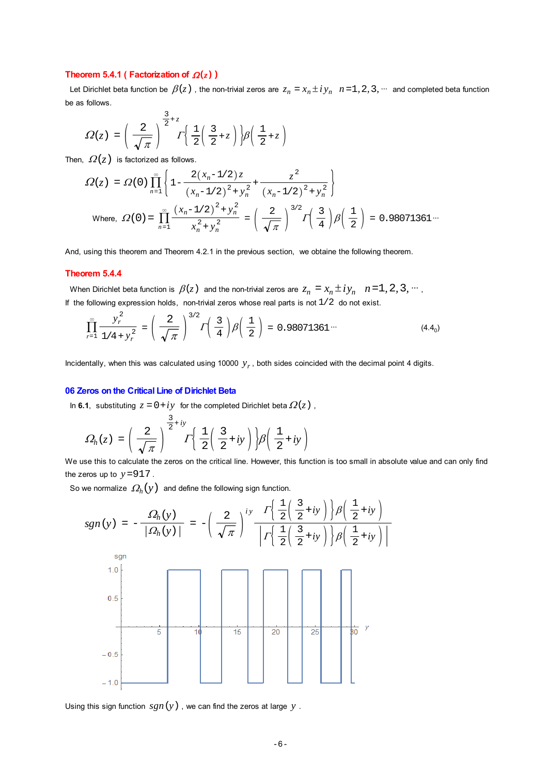#### **Theorem 5.4.1 ( Factorization of**  $Q(z)$  **)**

Let Dirichlet beta function be  $\beta(z)$ , the non-trivial zeros are  $z_n = x_n \pm iy_n$   $n=1, 2, 3, \dots$  and completed beta function be as follows.

$$
\Omega(z) = \left(\frac{2}{\sqrt{\pi}}\right)^{\frac{3}{2}+z} I\left(\frac{1}{2}\left(\frac{3}{2}+z\right)\right) \beta\left(\frac{1}{2}+z\right)
$$

Then,  $\Omega(z)$  is factorized as follows.

$$
\Omega(z) = \Omega(0) \prod_{n=1}^{\infty} \left\{ 1 - \frac{2(x_n - 1/2)z}{(x_n - 1/2)^2 + y_n^2} + \frac{z^2}{(x_n - 1/2)^2 + y_n^2} \right\}
$$
  
Where, 
$$
\Omega(0) = \prod_{n=1}^{\infty} \frac{(x_n - 1/2)^2 + y_n^2}{x_n^2 + y_n^2} = \left(\frac{2}{\sqrt{\pi}}\right)^{3/2} \Gamma\left(\frac{3}{4}\right) \beta\left(\frac{1}{2}\right) = 0.98071361...
$$

And, using this theorem and Theorem 4.2.1 in the previous section, we obtaine the following theorem.

#### **Theorem 5.4.4**

When Dirichlet beta function is  $\beta(z)$  and the non-trivial zeros are  $z_n = x_n \pm iy_n$   $n=1, 2, 3, \dots$ If the following expression holds, non-trivial zeros whose real parts is not  $1/2$  do not exist.

$$
\prod_{r=1}^{\infty} \frac{y_r^2}{1/4 + y_r^2} = \left(\frac{2}{\sqrt{\pi}}\right)^{3/2} \Gamma\left(\frac{3}{4}\right) \beta\left(\frac{1}{2}\right) = 0.98071361\cdots
$$
\n(4.4<sub>0</sub>)

Incidentally, when this was calculated using 10000 *yr* , both sides coincided with the decimal point 4 digits.

#### **06 Zeros on the Critical Line of Dirichlet Beta**

In 6.1, substituting  $z = 0 + iy$  for the completed Dirichlet beta  $\Omega(z)$ ,

$$
\Omega_h(z) = \left(\frac{2}{\sqrt{\pi}}\right)^{\frac{3}{2}+iy} \Gamma\left{\frac{1}{2}\left(\frac{3}{2}+iy\right)\right} \beta\left(\frac{1}{2}+iy\right)
$$

We use this to calculate the zeros on the critical line. However, this function is too small in absolute value and can only find the zeros up to  $y = 917$ .

So we normalize  $\Omega_h(y)$  and define the following sign function.

$$
sgn(y) = -\frac{\Omega_h(y)}{|\Omega_h(y)|} = -\left(\frac{2}{\sqrt{\pi}}\right)^{iy} \frac{\Gamma\left(\frac{1}{2}\left(\frac{3}{2}+iy\right)\right)\beta\left(\frac{1}{2}+iy\right)}{\left|\Gamma\left(\frac{1}{2}\left(\frac{3}{2}+iy\right)\right)\beta\left(\frac{1}{2}+iy\right)\right|}
$$
  

$$
sgn
$$
  

$$
1.0
$$
  

$$
0.5
$$
  

$$
-0.5
$$
  

$$
-1.0
$$
  

$$
-1.0
$$
  

$$
1.0
$$
  

$$
1.0
$$
  

$$
1.0
$$
  

$$
1.0
$$
  

$$
1.0
$$
  

$$
1.0
$$
  

$$
1.0
$$
  

$$
1.0
$$
  

$$
1.0
$$
  

$$
1.0
$$
  

$$
1.0
$$
  

$$
1.0
$$
  

$$
1.0
$$
  

$$
1.0
$$
  

$$
1.0
$$
  

$$
1.0
$$
  

$$
1.0
$$
  

$$
1.0
$$
  

$$
1.0
$$
  

$$
1.0
$$
  

$$
1.0
$$
  

$$
1.0
$$
  

$$
1.0
$$
  

$$
1.0
$$
  

$$
1.0
$$
  

$$
1.0
$$
  

$$
1.0
$$
  

$$
1.0
$$
  

$$
1.0
$$
  

$$
1.0
$$
  

$$
1.0
$$
  

$$
1.0
$$
  

$$
1.0
$$
  

$$
1.0
$$
  

$$
1.0
$$
  

$$
1.0
$$
  

$$
1.0
$$
  

$$
1.0
$$
  

$$
1.0
$$
  

$$
1.0
$$
  

$$
1.0
$$
  

$$
1.0
$$
  
<

Using this sign function  $sgn(y)$ , we can find the zeros at large  $y$ .